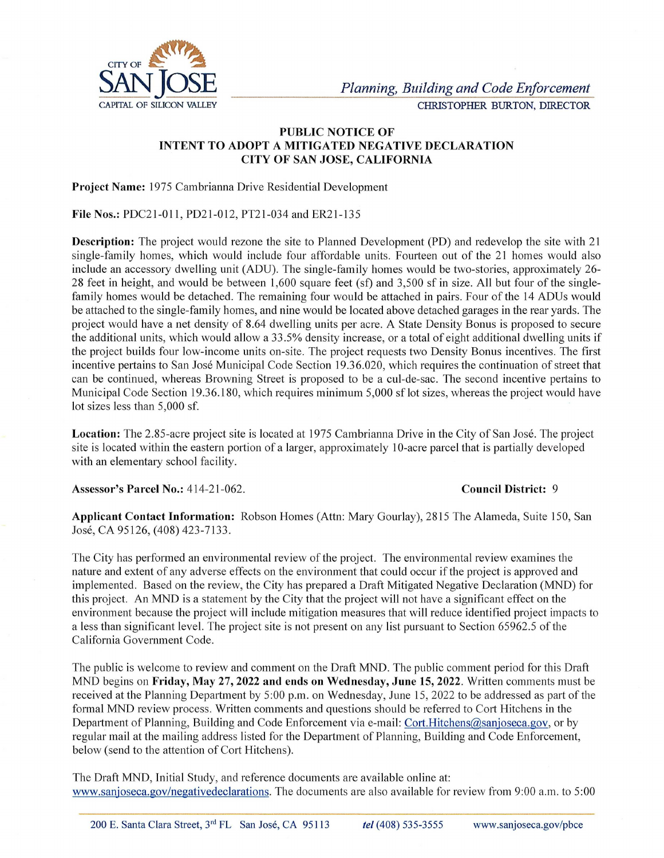

## PUBLIC NOTICE OF INTENT TO ADOPT A MITIGATED NEGATIVE DECLARATION CITY OF SAN JOSE, CALIFORNIA

Project Name: 1975 Cambrianna Drive Residential Development

File Nos.: PDC21-011, PD21-012, PT21-034 and ER21-135

Description: The project would rezone the site to Planned Development (PD) and redevelop the site with 21 single-family homes, which would include four affordable units. Fourteen out of the 21 homes would also include an accessory dwelling unit (ADU). The single-family homes would be two-stories, approximately 26- 28 feet in height, and would be between 1,600 square feet (sf) and 3,500 sf in size. All but four of the singlefamily homes would be detached. The remaining four would be attached in pairs. Four of the 14 ADUs would be attached to the single-family homes, and nine would be located above detached garages in the rear yards. The project would have a net density of 8.64 dwelling units per acre. A State Density Bonus is proposed to secure the additional units, which would allow a 33.5% density increase, or a total of eight additional dwelling units if the project builds four low-income units on-site. The project requests two Density Bonus incentives. The first incentive pertains to San José Municipal Code Section 19.36.020, which requires the continuation of street that can be continued, whereas Browning Street is proposed to be a cul-de-sac. The second incentive pertains to Municipal Code Section 19.36.180, which requires minimum 5,000 sf lot sizes, whereas the project would have lot sizes less than 5,000 sf. e attached to the single-family homes, and nine would liquited attached to the single-family homes, and nine would liquical units, which would allow a 33.5% density of 8.64 dwelling units and ditional units, which would al

Location: The 2.85-acre project site is located at 1975 Cambrianna Drive in the City of San José. The project site is located within the eastern portion of a larger, approximately 10-acre parcel that is partially developed with an elementary school facility.

Assessor's Parcel No.: 414-21-062. Council District: 9

Applicant Contact Information: Robson Homes (Attn: Mary Gourlay), 2815 The Alameda, Suite 150, San José, CA 95126, (408) 423-7133.

The City has performed an environmental review of the project. The environmental review examines the nature and extent of any adverse effects on the environment that could occur if the project is approved and implemented. Based on the review, the City has prepared a Draft Mitigated Negative Declaration (MND) for this project. An MND is a statement by the City that the project will not have a significant effect on the environment because the project will include mitigation measures that will reduce identified project impacts to a less than significant level. The project site is not present on any list pursuant to Section 65962.5 of the California Government Code.

The public is welcome to review and comment on the Draft MND. The public comment period for this Draft MND begins on Friday, May 27, 2022 and ends on Wednesday, June 15, 2022. Written comments must be received at the Planning Department by 5:00 p.m. on Wednesday, June 15, 2022 to be addressed as part of the formal MND review process. Written comments and questions should be referred to Cort Hitchens in the Department of Planning, Building and Code Enforcement via e-mail: Cort.Hitchens@sanjoseca.gov, or by regular mail at the mailing address listed for the Department of Planning, Building and Code Enforcement, below (send to the attention of Cort Hitchens). igated Negative<br>not have a signi<br>t will reduce ide<br>pursuant to Sec<br>ne public comm<br>ne 15, 2022 to be<br>l be referred to the referred to the Cort.<br>Hitchens

The Draft MND, Initial Study, and reference documents are available online at: www.sanjoseca.gov/negativedeclarations. The documents are also available for review from 9:00 a.m. to 5:00